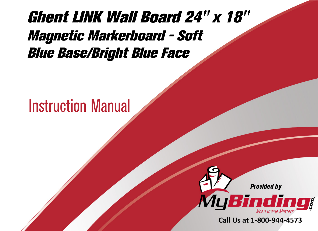## [Ghent LINK Wall Board 24" x 18"](https://www.mybinding.com/ghent-link-wall-board-magnetic-markerboard-soft-blue-base-bright-blue-face.html?sku=LWB2418BB)  Magnetic Markerboard - Soft Blue Base/Bright Blue Face

## Instruction Manual



Call Us at 1-800-944-4573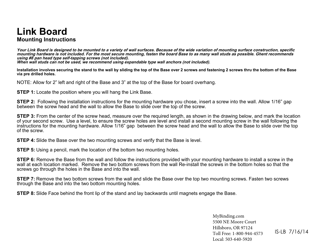## **Link Board Mounting Instructions**

**Your Link Board is designed to be mounted to a variety of wall surfaces. Because of the wide variation of mounting surface construction, specific mounting hardware is not included. For the most secure mounting, fasten the board Base to as many wall studs as possible. Ghent recommends using #8 pan head type self-tapping screws (not included).**

**When wall studs can not be used, we recommend using expandable type wall anchors (not included).**

**Installation involves securing the stand to the wall by sliding the top of the Base over 2 screws and fastening 2 screws thru the bottom of the Base via pre drilled holes.**

NOTE: Allow for 2" left and right of the Base and 3" at the top of the Base for board overhang.

**STEP 1:** Locate the position where you will hang the Link Base.

**STEP 2:** Following the installation instructions for the mounting hardware you chose, insert a screw into the wall. Allow 1/16" gap between the screw head and the wall to allow the Base to slide over the top of the screw.

**STEP 3:** From the center of the screw head, measure over the required length, as shown in the drawing below, and mark the location of your second screw. Use a level, to ensure the screw holes are level and install a second mounting screw in the wall following the instructions for the mounting hardware. Allow 1/16" gap between the screw head and the wall to allow the Base to slide over the top of the screw.

**STEP 4:** Slide the Base over the two mounting screws and verify that the Base is level.

**STEP 5:** Using a pencil, mark the location of the bottom two mounting holes.

**STEP 6:** Remove the Base from the wall and follow the instructions provided with your mounting hardware to install a screw in the wall at each location marked. Remove the two bottom screws from the wall Re-install the screws in the bottom holes so that the screws go through the holes in the Base and into the wall.

**STEP 7:** Remove the two bottom screws from the wall and slide the Base over the top two mounting screws. Fasten two screws through the Base and into the two bottom mounting holes.

**STEP 8:** Slide Face behind the front lip of the stand and lay backwards until magnets engage the Base.

[MyBinding.com](http://www.mybinding.com) 5500 NE Moore Court Hillsboro, OR 97124 Toll Free: 1-800-944-4573 Local: 503-640-5920

IS-LB 7/16/14